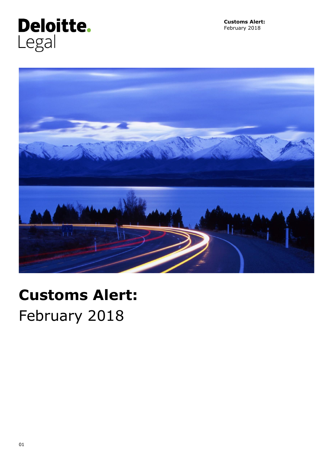



# **Customs Alert:** February 2018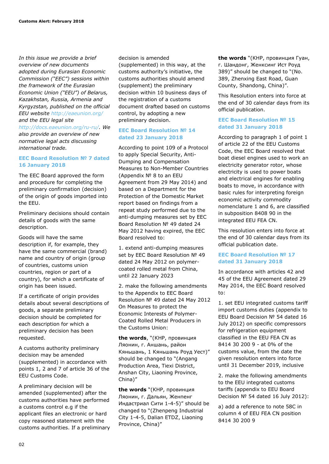*In this issue we provide a brief overview of new documents adopted during Eurasian Economic Commission ("EEC") sessions within the framework of the Eurasian Economic Union ("EEU") of Belarus, Kazakhstan, Russia, Armenia and Kyrgyzstan, published on the official EEU website <http://eaeunion.org/> and the EEU legal site [http://docs.eaeunion.org/ru-ru/.](http://docs.eaeunion.org/ru-ru/) We also provide an overview of new normative legal acts discussing international trade.*

### **EEC Board Resolution № 7 dated 16 January 2018**

The EEC Board approved the form and procedure for completing the preliminary confirmation (decision) of the origin of goods imported into the EEU.

Preliminary decisions should contain details of goods with the same description.

Goods will have the same description if, for example, they have the same commercial (brand) name and country of origin (group of countries, customs union countries, region or part of a country), for which a certificate of origin has been issued.

If a certificate of origin provides details about several descriptions of goods, a separate preliminary decision should be completed for each description for which a preliminary decision has been requested.

A customs authority preliminary decision may be amended (supplemented) in accordance with points 1, 2 and 7 of article 36 of the EEU Customs Code.

A preliminary decision will be amended (supplemented) after the customs authorities have performed a customs control e.g if the applicant files an electronic or hard copy reasoned statement with the customs authorities. If a preliminary decision is amended

(supplemented) in this way, at the customs authority's initiative, the customs authorities should amend (supplement) the preliminary decision within 10 business days of the registration of a customs document drafted based on customs control, by adopting a new preliminary decision.

# **EEC Board Resolution № 14 dated 23 January 2018**

According to point 109 of a Protocol to apply Special Security, Anti-Dumping and Compensation Measures to Non-Member Countries (Appendix № 8 to an EEU Agreement from 29 May 2014) and based on a Department for the Protection of the Domestic Market report based on findings from a repeat study performed due to the anti-dumping measures set by EEC Board Resolution № 49 dated 24 May 2012 having expired, the EEC Board resolved to:

1. extend anti-dumping measures set by EEC Board Resolution № 49 dated 24 May 2012 on polymercoated rolled metal from China, until 22 January 2023

2. make the following amendments to the Appendix to EEC Board Resolution № 49 dated 24 May 2012 On Measures to protect the Economic Interests of Polymer-Coated Rolled Metal Producers in the Customs Union:

**the words**, "(КНР, провинция Ляонин, г. Аншань, район Кяньшань, 1 Кяньшань Роуд Уест)" should be changed to "(Angang Production Area, Tiexi District, Anshan City, Liaoning Province, China)"

**the words** "(КНР, провинция Ляонин, г. Дальян, Женпенг Индастриал Сити 1-4-5)" should be changed to "(Zhenpeng Industrial City 1-4-5, Dalian ETDZ, Liaoning Province, China)"

**the words** "(КНР, провинция Гуан, г. Шандонг, Женксинг Ист Роуд 389)" should be changed to "(No. 389, Zhenxing East Road, Guan County, Shandong, China)".

This Resolution enters into force at the end of 30 calendar days from its official publication.

## **EEC Board Resolution № 15 dated 31 January 2018**

According to paragraph 1 of point 1 of article 22 of the EEU Customs Code, the EEC Board resolved that boat diesel engines used to work an electricity generator rotor, whose electricity is used to power boats and electrical engines for enabling boats to move, in accordance with basic rules for interpreting foreign economic activity commodity nomenclature 1 and 6, are classified in subposition 8408 90 in the integrated EEU FEA CN.

This resolution enters into force at the end of 30 calendar days from its official publication date.

# **EEC Board Resolution № 17 dated 31 January 2018**

In accordance with articles 42 and 45 of the EEU Agreement dated 29 May 2014, the EEC Board resolved to:

1. set EEU integrated customs tariff import customs duties (appendix to EEU Board Decision № 54 dated 16 July 2012) on specific compressors for refrigeration equipment classified in the EEU FEA CN as 8414 30 200 9 - at 0% of the customs value, from the date the given resolution enters into force until 31 December 2019, inclusive

2. make the following amendments to the EEU integrated customs tariffs (appendix to EEU Board Decision № 54 dated 16 July 2012):

a) add a reference to note 58C in column 4 of EEU FEA CN position 8414 30 200 9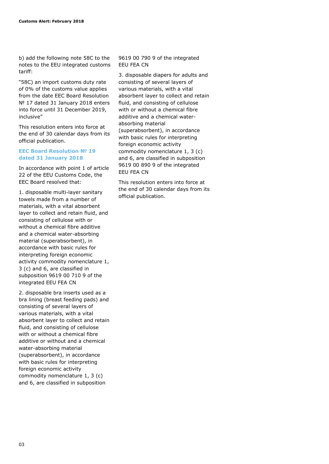b) add the following note 58C to the notes to the EEU integrated customs tariff:

"58С) an import customs duty rate of 0% of the customs value applies from the date EEC Board Resolution № 17 dated 31 January 2018 enters into force until 31 December 2019, inclusive"

This resolution enters into force at the end of 30 calendar days from its official publication.

#### **EEC Board Resolution № 19 dated 31 January 2018**

In accordance with point 1 of article 22 of the EEU Customs Code, the EEC Board resolved that:

1. disposable multi-layer sanitary towels made from a number of materials, with a vital absorbent layer to collect and retain fluid, and consisting of cellulose with or without a chemical fibre additive and a chemical water-absorbing material (superabsorbent), in accordance with basic rules for interpreting foreign economic activity commodity nomenclature 1, 3 (c) and 6, are classified in subposition 9619 00 710 9 of the integrated EEU FEA CN

2. disposable bra inserts used as a bra lining (breast feeding pads) and consisting of several layers of various materials, with a vital absorbent layer to collect and retain fluid, and consisting of cellulose with or without a chemical fibre additive or without and a chemical water-absorbing material (superabsorbent), in accordance with basic rules for interpreting foreign economic activity commodity nomenclature 1, 3 (c) and 6, are classified in subposition

9619 00 790 9 of the integrated EEU FEA CN

3. disposable diapers for adults and consisting of several layers of various materials, with a vital absorbent layer to collect and retain fluid, and consisting of cellulose with or without a chemical fibre additive and a chemical waterabsorbing material (superabsorbent), in accordance with basic rules for interpreting foreign economic activity commodity nomenclature 1, 3 (c) and 6, are classified in subposition 9619 00 890 9 of the integrated EEU FEA CN

This resolution enters into force at the end of 30 calendar days from its official publication.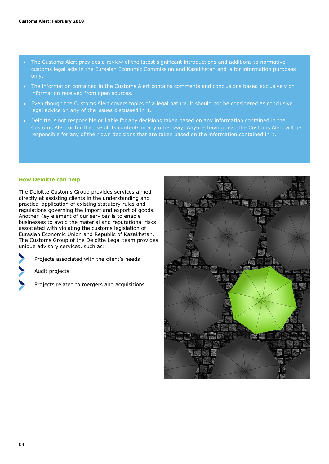- The Customs Alert provides a review of the latest significant introductions and additions to normative customs legal acts in the Eurasian Economic Commission and Kazakhstan and is for information purposes only.
- The information contained in the Customs Alert contains comments and conclusions based exclusively on information received from open sources.
- Even though the Customs Alert covers topics of a legal nature, it should not be considered as conclusive legal advice on any of the issues discussed in it.
- Deloitte is not responsible or liable for any decisions taken based on any information contained in the Customs Alert or for the use of its contents in any other way. Anyone having read the Customs Alert will be responsible for any of their own decisions that are taken based on the information contained in it.

#### **How Deloitte can help**

The Deloitte Customs Group provides services aimed directly at assisting clients in the understanding and practical application of existing statutory rules and regulations governing the import and export of goods. Another Key element of our services is to enable businesses to avoid the material and reputational risks associated with violating the customs legislation of Eurasian Economic Union and Republic of Kazakhstan. The Customs Group of the Deloitte Legal team provides unique advisory services, such as:

Projects associated with the client's needs

Audit projects

Projects related to mergers and acquisitions